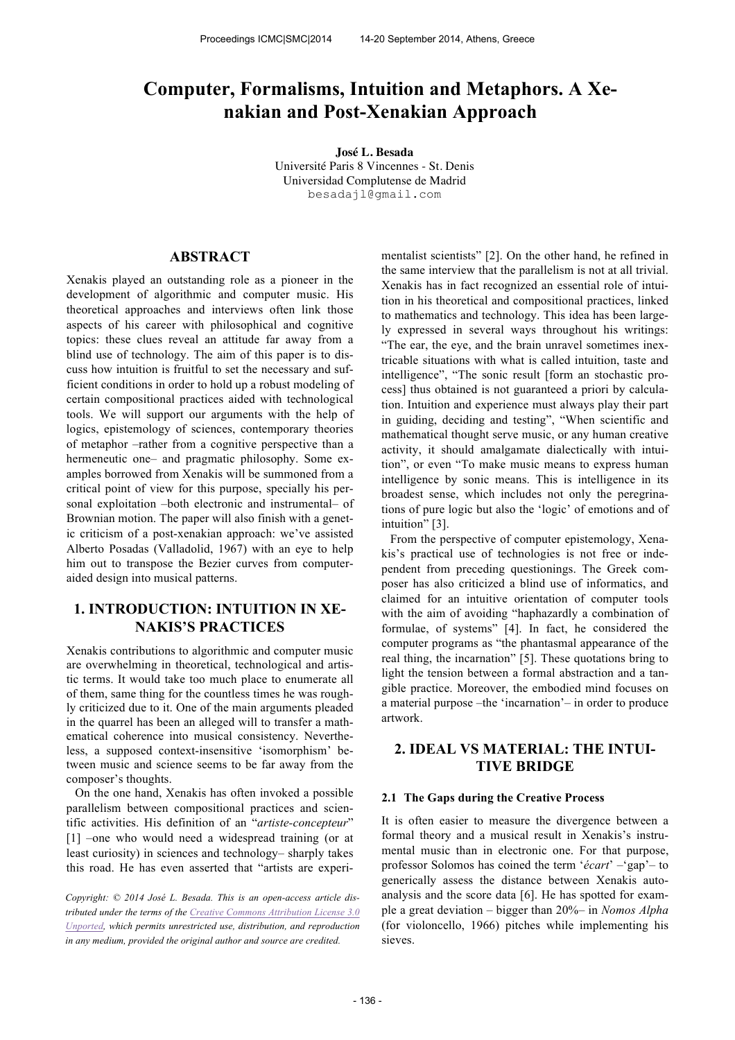# **Computer, Formalisms, Intuition and Metaphors. A Xenakian and Post-Xenakian Approach**

**José L. Besada** Université Paris 8 Vincennes - St. Denis Universidad Complutense de Madrid besadajl@gmail.com

## **ABSTRACT**

Xenakis played an outstanding role as a pioneer in the development of algorithmic and computer music. His theoretical approaches and interviews often link those aspects of his career with philosophical and cognitive topics: these clues reveal an attitude far away from a blind use of technology. The aim of this paper is to discuss how intuition is fruitful to set the necessary and sufficient conditions in order to hold up a robust modeling of certain compositional practices aided with technological tools. We will support our arguments with the help of logics, epistemology of sciences, contemporary theories of metaphor –rather from a cognitive perspective than a hermeneutic one– and pragmatic philosophy. Some examples borrowed from Xenakis will be summoned from a critical point of view for this purpose, specially his personal exploitation –both electronic and instrumental– of Brownian motion. The paper will also finish with a genetic criticism of a post-xenakian approach: we've assisted Alberto Posadas (Valladolid, 1967) with an eye to help him out to transpose the Bezier curves from computeraided design into musical patterns.

# **1. INTRODUCTION: INTUITION IN XE-NAKIS'S PRACTICES**

Xenakis contributions to algorithmic and computer music are overwhelming in theoretical, technological and artistic terms. It would take too much place to enumerate all of them, same thing for the countless times he was roughly criticized due to it. One of the main arguments pleaded in the quarrel has been an alleged will to transfer a mathematical coherence into musical consistency. Nevertheless, a supposed context-insensitive 'isomorphism' between music and science seems to be far away from the composer's thoughts.

On the one hand, Xenakis has often invoked a possible parallelism between compositional practices and scientific activities. His definition of an "*artiste-concepteur*" [1] –one who would need a widespread training (or at least curiosity) in sciences and technology– sharply takes this road. He has even asserted that "artists are experi-

*Copyright: © 2014 José L. Besada. This is an open-access article distributed under the terms of the Creative Commons Attribution License 3.0 Unported, which permits unrestricted use, distribution, and reproduction in any medium, provided the original author and source are credited.*

mentalist scientists" [2]. On the other hand, he refined in the same interview that the parallelism is not at all trivial. Xenakis has in fact recognized an essential role of intuition in his theoretical and compositional practices, linked to mathematics and technology. This idea has been largely expressed in several ways throughout his writings: "The ear, the eye, and the brain unravel sometimes inextricable situations with what is called intuition, taste and intelligence", "The sonic result [form an stochastic process] thus obtained is not guaranteed a priori by calculation. Intuition and experience must always play their part in guiding, deciding and testing", "When scientific and mathematical thought serve music, or any human creative activity, it should amalgamate dialectically with intuition", or even "To make music means to express human intelligence by sonic means. This is intelligence in its broadest sense, which includes not only the peregrinations of pure logic but also the 'logic' of emotions and of intuition" [3].

From the perspective of computer epistemology, Xenakis's practical use of technologies is not free or independent from preceding questionings. The Greek composer has also criticized a blind use of informatics, and claimed for an intuitive orientation of computer tools with the aim of avoiding "haphazardly a combination of formulae, of systems" [4]. In fact, he considered the computer programs as "the phantasmal appearance of the real thing, the incarnation" [5]. These quotations bring to light the tension between a formal abstraction and a tangible practice. Moreover, the embodied mind focuses on a material purpose –the 'incarnation'– in order to produce artwork.

## **2. IDEAL VS MATERIAL: THE INTUI-TIVE BRIDGE**

#### **2.1 The Gaps during the Creative Process**

It is often easier to measure the divergence between a formal theory and a musical result in Xenakis's instrumental music than in electronic one. For that purpose, professor Solomos has coined the term '*écart*' –'gap'– to generically assess the distance between Xenakis autoanalysis and the score data [6]. He has spotted for example a great deviation – bigger than 20%– in *Nomos Alpha* (for violoncello, 1966) pitches while implementing his sieves.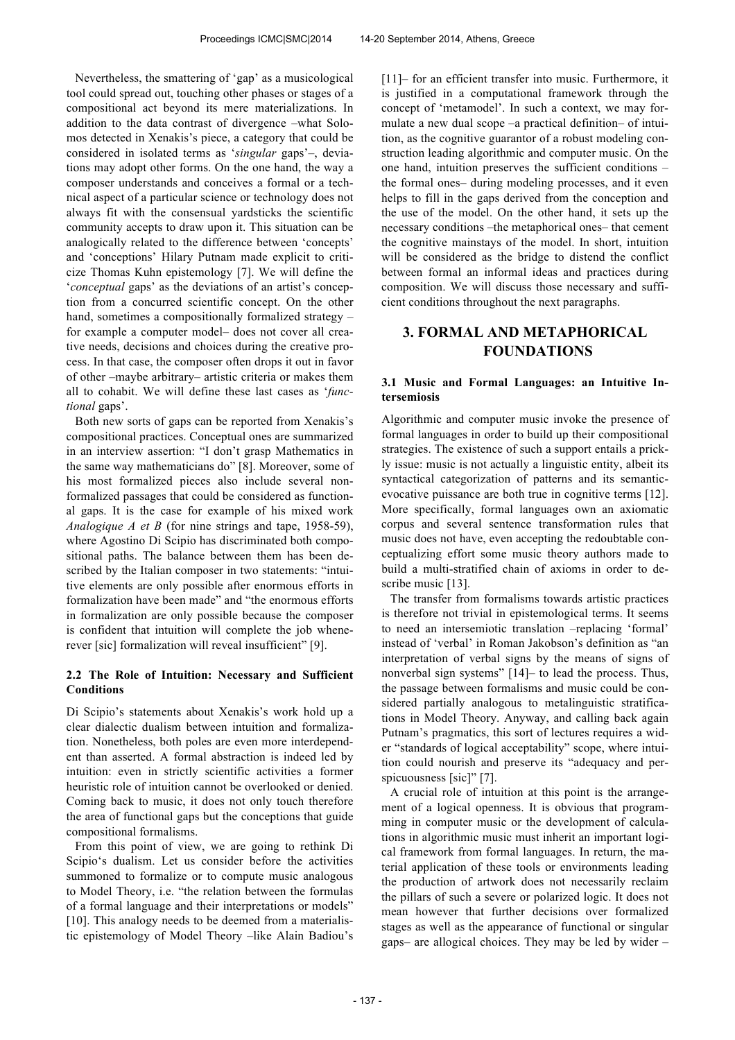Nevertheless, the smattering of 'gap' as a musicological tool could spread out, touching other phases or stages of a compositional act beyond its mere materializations. In addition to the data contrast of divergence –what Solomos detected in Xenakis's piece, a category that could be considered in isolated terms as '*singular* gaps'–, deviations may adopt other forms. On the one hand, the way a composer understands and conceives a formal or a technical aspect of a particular science or technology does not always fit with the consensual yardsticks the scientific community accepts to draw upon it. This situation can be analogically related to the difference between 'concepts' and 'conceptions' Hilary Putnam made explicit to criticize Thomas Kuhn epistemology [7]. We will define the '*conceptual* gaps' as the deviations of an artist's conception from a concurred scientific concept. On the other hand, sometimes a compositionally formalized strategy – for example a computer model– does not cover all creative needs, decisions and choices during the creative process. In that case, the composer often drops it out in favor of other –maybe arbitrary– artistic criteria or makes them all to cohabit. We will define these last cases as '*functional* gaps'.

Both new sorts of gaps can be reported from Xenakis's compositional practices. Conceptual ones are summarized in an interview assertion: "I don't grasp Mathematics in the same way mathematicians do" [8]. Moreover, some of his most formalized pieces also include several nonformalized passages that could be considered as functional gaps. It is the case for example of his mixed work *Analogique A et B* (for nine strings and tape, 1958-59), where Agostino Di Scipio has discriminated both compositional paths. The balance between them has been described by the Italian composer in two statements: "intuitive elements are only possible after enormous efforts in formalization have been made" and "the enormous efforts in formalization are only possible because the composer is confident that intuition will complete the job whenerever [sic] formalization will reveal insufficient" [9].

## **2.2 The Role of Intuition: Necessary and Sufficient Conditions**

Di Scipio's statements about Xenakis's work hold up a clear dialectic dualism between intuition and formalization. Nonetheless, both poles are even more interdependent than asserted. A formal abstraction is indeed led by intuition: even in strictly scientific activities a former heuristic role of intuition cannot be overlooked or denied. Coming back to music, it does not only touch therefore the area of functional gaps but the conceptions that guide compositional formalisms.

From this point of view, we are going to rethink Di Scipio's dualism. Let us consider before the activities summoned to formalize or to compute music analogous to Model Theory, i.e. "the relation between the formulas of a formal language and their interpretations or models" [10]. This analogy needs to be deemed from a materialistic epistemology of Model Theory –like Alain Badiou's [11]– for an efficient transfer into music. Furthermore, it is justified in a computational framework through the concept of 'metamodel'. In such a context, we may formulate a new dual scope –a practical definition– of intuition, as the cognitive guarantor of a robust modeling construction leading algorithmic and computer music. On the one hand, intuition preserves the sufficient conditions – the formal ones– during modeling processes, and it even helps to fill in the gaps derived from the conception and the use of the model. On the other hand, it sets up the necessary conditions –the metaphorical ones– that cement the cognitive mainstays of the model. In short, intuition will be considered as the bridge to distend the conflict between formal an informal ideas and practices during composition. We will discuss those necessary and sufficient conditions throughout the next paragraphs.

## **3. FORMAL AND METAPHORICAL FOUNDATIONS**

### **3.1 Music and Formal Languages: an Intuitive Intersemiosis**

Algorithmic and computer music invoke the presence of formal languages in order to build up their compositional strategies. The existence of such a support entails a prickly issue: music is not actually a linguistic entity, albeit its syntactical categorization of patterns and its semanticevocative puissance are both true in cognitive terms [12]. More specifically, formal languages own an axiomatic corpus and several sentence transformation rules that music does not have, even accepting the redoubtable conceptualizing effort some music theory authors made to build a multi-stratified chain of axioms in order to describe music [13].

The transfer from formalisms towards artistic practices is therefore not trivial in epistemological terms. It seems to need an intersemiotic translation –replacing 'formal' instead of 'verbal' in Roman Jakobson's definition as "an interpretation of verbal signs by the means of signs of nonverbal sign systems" [14]– to lead the process. Thus, the passage between formalisms and music could be considered partially analogous to metalinguistic stratifications in Model Theory. Anyway, and calling back again Putnam's pragmatics, this sort of lectures requires a wider "standards of logical acceptability" scope, where intuition could nourish and preserve its "adequacy and perspicuousness [sic]" [7].

A crucial role of intuition at this point is the arrangement of a logical openness. It is obvious that programming in computer music or the development of calculations in algorithmic music must inherit an important logical framework from formal languages. In return, the material application of these tools or environments leading the production of artwork does not necessarily reclaim the pillars of such a severe or polarized logic. It does not mean however that further decisions over formalized stages as well as the appearance of functional or singular gaps– are allogical choices. They may be led by wider –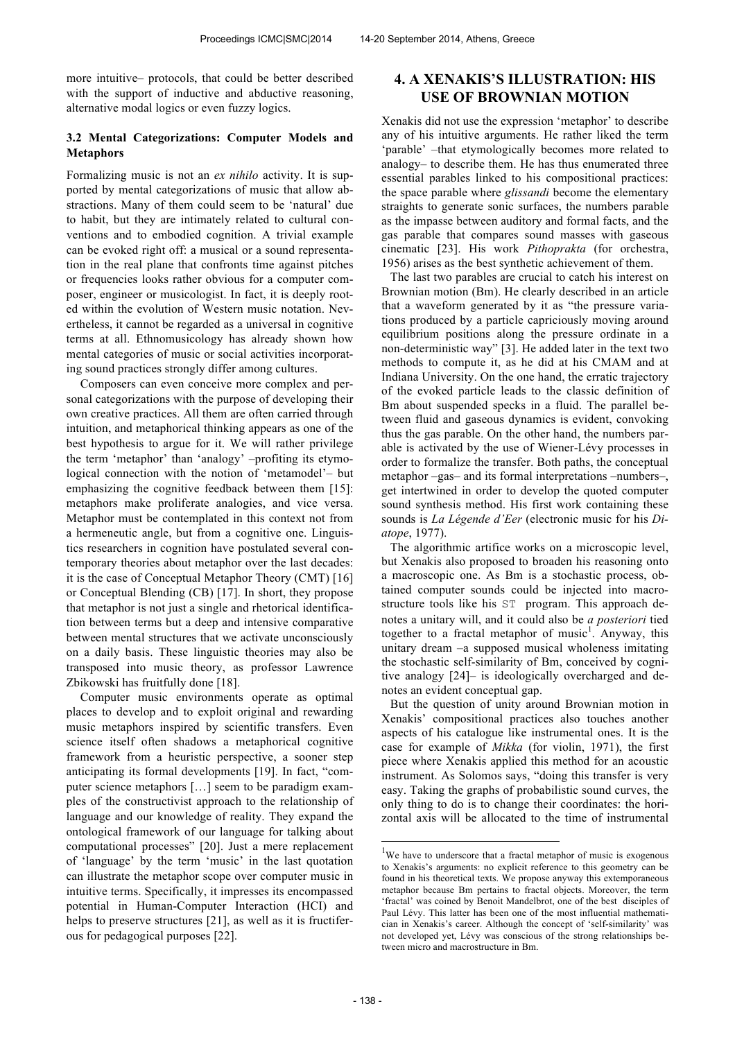more intuitive– protocols, that could be better described with the support of inductive and abductive reasoning, alternative modal logics or even fuzzy logics.

### **3.2 Mental Categorizations: Computer Models and Metaphors**

Formalizing music is not an *ex nihilo* activity. It is supported by mental categorizations of music that allow abstractions. Many of them could seem to be 'natural' due to habit, but they are intimately related to cultural conventions and to embodied cognition. A trivial example can be evoked right off: a musical or a sound representation in the real plane that confronts time against pitches or frequencies looks rather obvious for a computer composer, engineer or musicologist. In fact, it is deeply rooted within the evolution of Western music notation. Nevertheless, it cannot be regarded as a universal in cognitive terms at all. Ethnomusicology has already shown how mental categories of music or social activities incorporating sound practices strongly differ among cultures.

Composers can even conceive more complex and personal categorizations with the purpose of developing their own creative practices. All them are often carried through intuition, and metaphorical thinking appears as one of the best hypothesis to argue for it. We will rather privilege the term 'metaphor' than 'analogy' –profiting its etymological connection with the notion of 'metamodel'– but emphasizing the cognitive feedback between them [15]: metaphors make proliferate analogies, and vice versa. Metaphor must be contemplated in this context not from a hermeneutic angle, but from a cognitive one. Linguistics researchers in cognition have postulated several contemporary theories about metaphor over the last decades: it is the case of Conceptual Metaphor Theory (CMT) [16] or Conceptual Blending (CB) [17]. In short, they propose that metaphor is not just a single and rhetorical identification between terms but a deep and intensive comparative between mental structures that we activate unconsciously on a daily basis. These linguistic theories may also be transposed into music theory, as professor Lawrence Zbikowski has fruitfully done [18].

Computer music environments operate as optimal places to develop and to exploit original and rewarding music metaphors inspired by scientific transfers. Even science itself often shadows a metaphorical cognitive framework from a heuristic perspective, a sooner step anticipating its formal developments [19]. In fact, "computer science metaphors […] seem to be paradigm examples of the constructivist approach to the relationship of language and our knowledge of reality. They expand the ontological framework of our language for talking about computational processes" [20]. Just a mere replacement of 'language' by the term 'music' in the last quotation can illustrate the metaphor scope over computer music in intuitive terms. Specifically, it impresses its encompassed potential in Human-Computer Interaction (HCI) and helps to preserve structures [21], as well as it is fructiferous for pedagogical purposes [22].

## **4. A XENAKIS'S ILLUSTRATION: HIS USE OF BROWNIAN MOTION**

Xenakis did not use the expression 'metaphor' to describe any of his intuitive arguments. He rather liked the term 'parable' –that etymologically becomes more related to analogy– to describe them. He has thus enumerated three essential parables linked to his compositional practices: the space parable where *glissandi* become the elementary straights to generate sonic surfaces, the numbers parable as the impasse between auditory and formal facts, and the gas parable that compares sound masses with gaseous cinematic [23]. His work *Pithoprakta* (for orchestra, 1956) arises as the best synthetic achievement of them.

The last two parables are crucial to catch his interest on Brownian motion (Bm). He clearly described in an article that a waveform generated by it as "the pressure variations produced by a particle capriciously moving around equilibrium positions along the pressure ordinate in a non-deterministic way" [3]. He added later in the text two methods to compute it, as he did at his CMAM and at Indiana University. On the one hand, the erratic trajectory of the evoked particle leads to the classic definition of Bm about suspended specks in a fluid. The parallel between fluid and gaseous dynamics is evident, convoking thus the gas parable. On the other hand, the numbers parable is activated by the use of Wiener-Lévy processes in order to formalize the transfer. Both paths, the conceptual metaphor –gas– and its formal interpretations –numbers–, get intertwined in order to develop the quoted computer sound synthesis method. His first work containing these sounds is *La Légende d'Eer* (electronic music for his *Diatope*, 1977).

The algorithmic artifice works on a microscopic level, but Xenakis also proposed to broaden his reasoning onto a macroscopic one. As Bm is a stochastic process, obtained computer sounds could be injected into macrostructure tools like his ST program. This approach denotes a unitary will, and it could also be *a posteriori* tied together to a fractal metaphor of music<sup>1</sup>. Anyway, this unitary dream –a supposed musical wholeness imitating the stochastic self-similarity of Bm, conceived by cognitive analogy [24]– is ideologically overcharged and denotes an evident conceptual gap.

But the question of unity around Brownian motion in Xenakis' compositional practices also touches another aspects of his catalogue like instrumental ones. It is the case for example of *Mikka* (for violin, 1971), the first piece where Xenakis applied this method for an acoustic instrument. As Solomos says, "doing this transfer is very easy. Taking the graphs of probabilistic sound curves, the only thing to do is to change their coordinates: the horizontal axis will be allocated to the time of instrumental

j

 $1$ We have to underscore that a fractal metaphor of music is exogenous to Xenakis's arguments: no explicit reference to this geometry can be found in his theoretical texts. We propose anyway this extemporaneous metaphor because Bm pertains to fractal objects. Moreover, the term 'fractal' was coined by Benoit Mandelbrot, one of the best disciples of Paul Lévy. This latter has been one of the most influential mathematician in Xenakis's career. Although the concept of 'self-similarity' was not developed yet, Lévy was conscious of the strong relationships between micro and macrostructure in Bm.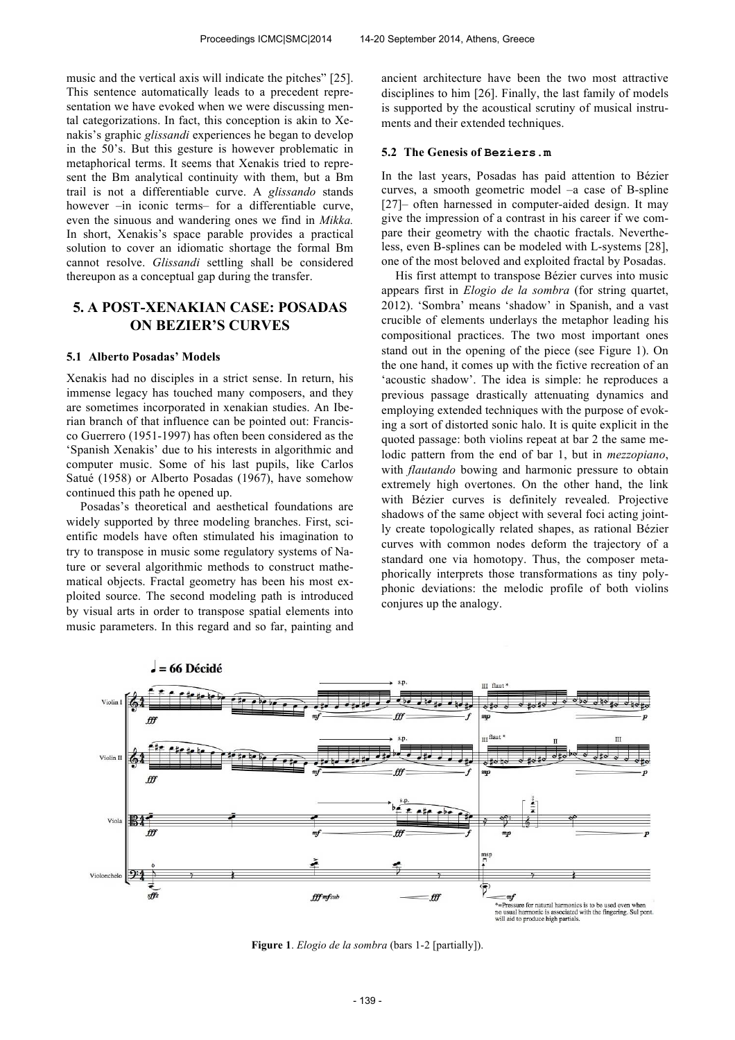music and the vertical axis will indicate the pitches" [25]. This sentence automatically leads to a precedent representation we have evoked when we were discussing mental categorizations. In fact, this conception is akin to Xenakis's graphic *glissandi* experiences he began to develop in the 50's. But this gesture is however problematic in metaphorical terms. It seems that Xenakis tried to represent the Bm analytical continuity with them, but a Bm trail is not a differentiable curve. A *glissando* stands however –in iconic terms– for a differentiable curve, even the sinuous and wandering ones we find in *Mikka.*  In short, Xenakis's space parable provides a practical solution to cover an idiomatic shortage the formal Bm cannot resolve. *Glissandi* settling shall be considered thereupon as a conceptual gap during the transfer.

# **5. A POST-XENAKIAN CASE: POSADAS ON BEZIER'S CURVES**

#### **5.1 Alberto Posadas' Models**

Xenakis had no disciples in a strict sense. In return, his immense legacy has touched many composers, and they are sometimes incorporated in xenakian studies. An Iberian branch of that influence can be pointed out: Francisco Guerrero (1951-1997) has often been considered as the 'Spanish Xenakis' due to his interests in algorithmic and computer music. Some of his last pupils, like Carlos Satué (1958) or Alberto Posadas (1967), have somehow continued this path he opened up.

Posadas's theoretical and aesthetical foundations are widely supported by three modeling branches. First, scientific models have often stimulated his imagination to try to transpose in music some regulatory systems of Nature or several algorithmic methods to construct mathematical objects. Fractal geometry has been his most exploited source. The second modeling path is introduced by visual arts in order to transpose spatial elements into music parameters. In this regard and so far, painting and ancient architecture have been the two most attractive disciplines to him [26]. Finally, the last family of models is supported by the acoustical scrutiny of musical instruments and their extended techniques.

## **5.2 The Genesis of Beziers.m**

In the last years, Posadas has paid attention to Bézier curves, a smooth geometric model –a case of B-spline [27]– often harnessed in computer-aided design. It may give the impression of a contrast in his career if we compare their geometry with the chaotic fractals. Nevertheless, even B-splines can be modeled with L-systems [28], one of the most beloved and exploited fractal by Posadas.

His first attempt to transpose Bézier curves into music appears first in *Elogio de la sombra* (for string quartet, 2012). 'Sombra' means 'shadow' in Spanish, and a vast crucible of elements underlays the metaphor leading his compositional practices. The two most important ones stand out in the opening of the piece (see Figure 1). On the one hand, it comes up with the fictive recreation of an 'acoustic shadow'. The idea is simple: he reproduces a previous passage drastically attenuating dynamics and employing extended techniques with the purpose of evoking a sort of distorted sonic halo. It is quite explicit in the quoted passage: both violins repeat at bar 2 the same melodic pattern from the end of bar 1, but in *mezzopiano*, with *flautando* bowing and harmonic pressure to obtain extremely high overtones. On the other hand, the link with Bézier curves is definitely revealed. Projective shadows of the same object with several foci acting jointly create topologically related shapes, as rational Bézier curves with common nodes deform the trajectory of a standard one via homotopy. Thus, the composer metaphorically interprets those transformations as tiny polyphonic deviations: the melodic profile of both violins conjures up the analogy.



**Figure 1**. *Elogio de la sombra* (bars 1-2 [partially]).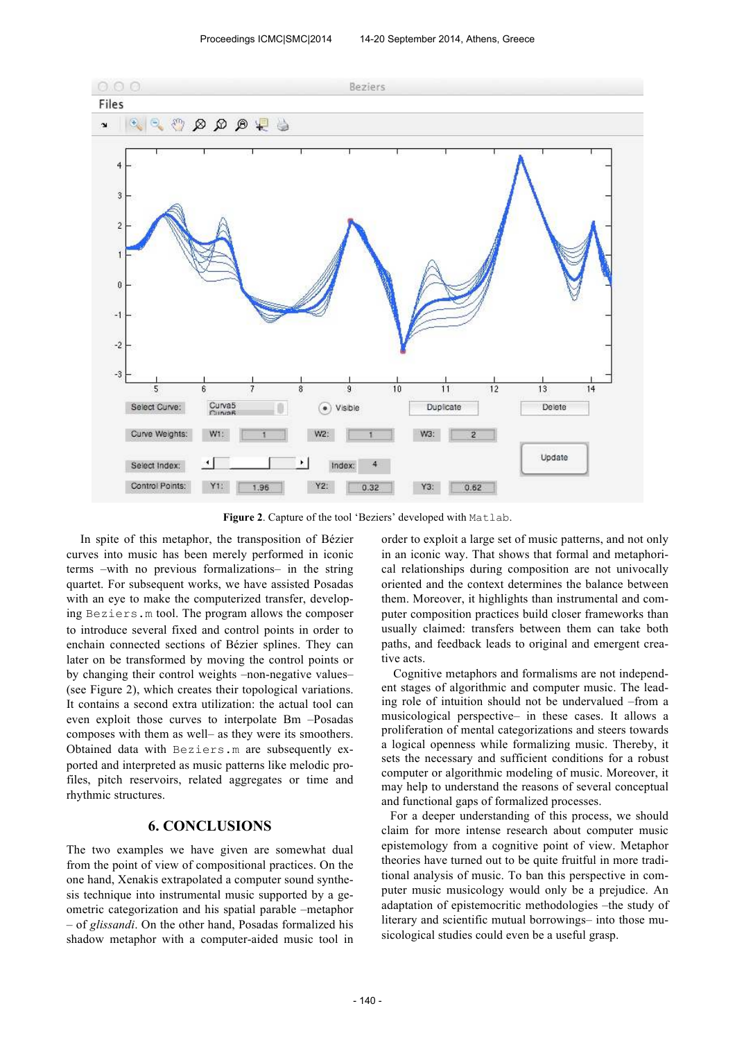

**Figure 2**. Capture of the tool 'Beziers' developed with Matlab.

In spite of this metaphor, the transposition of Bézier curves into music has been merely performed in iconic terms –with no previous formalizations– in the string quartet. For subsequent works, we have assisted Posadas with an eye to make the computerized transfer, developing Beziers.m tool. The program allows the composer to introduce several fixed and control points in order to enchain connected sections of Bézier splines. They can later on be transformed by moving the control points or by changing their control weights –non-negative values– (see Figure 2), which creates their topological variations. It contains a second extra utilization: the actual tool can even exploit those curves to interpolate Bm –Posadas composes with them as well– as they were its smoothers. Obtained data with Beziers.m are subsequently exported and interpreted as music patterns like melodic profiles, pitch reservoirs, related aggregates or time and rhythmic structures.

## **6. CONCLUSIONS**

The two examples we have given are somewhat dual from the point of view of compositional practices. On the one hand, Xenakis extrapolated a computer sound synthesis technique into instrumental music supported by a geometric categorization and his spatial parable –metaphor – of *glissandi*. On the other hand, Posadas formalized his shadow metaphor with a computer-aided music tool in order to exploit a large set of music patterns, and not only in an iconic way. That shows that formal and metaphorical relationships during composition are not univocally oriented and the context determines the balance between them. Moreover, it highlights than instrumental and computer composition practices build closer frameworks than usually claimed: transfers between them can take both paths, and feedback leads to original and emergent creative acts.

 Cognitive metaphors and formalisms are not independent stages of algorithmic and computer music. The leading role of intuition should not be undervalued –from a musicological perspective– in these cases. It allows a proliferation of mental categorizations and steers towards a logical openness while formalizing music. Thereby, it sets the necessary and sufficient conditions for a robust computer or algorithmic modeling of music. Moreover, it may help to understand the reasons of several conceptual and functional gaps of formalized processes.

For a deeper understanding of this process, we should claim for more intense research about computer music epistemology from a cognitive point of view. Metaphor theories have turned out to be quite fruitful in more traditional analysis of music. To ban this perspective in computer music musicology would only be a prejudice. An adaptation of epistemocritic methodologies –the study of literary and scientific mutual borrowings– into those musicological studies could even be a useful grasp.